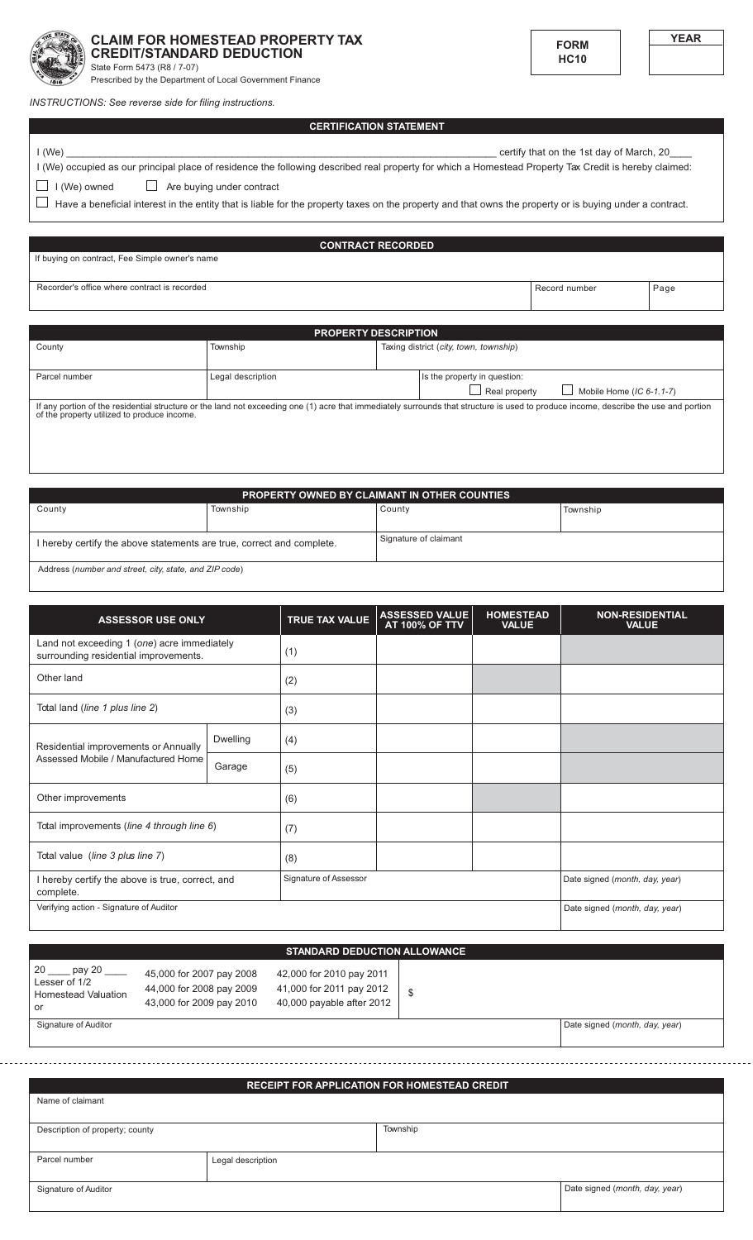

## **CLAIM FOR HOMESTEAD PROPERTY TAX CREDIT/STANDARD DEDUCTION**

State Form 5473 (R8 / 7-07)

Prescribed by the Department of Local Government Finance

INSTRUCTIONS: See reverse side for filing instructions.

**CERTIFICATION STATEMENT** 

certify that on the 1st day of March, 20

 $I(We)$ I (We) occupied as our principal place of residence the following described real property for which a Homestead Property Tax Credit is hereby claimed: Are buying under contract  $\Box$  I (We) owned

 $\Box$  Have a beneficial interest in the entity that is liable for the property taxes on the property and that owns the property or is buying under a contract.

**CONTRACT RECORDED** If buying on contract, Fee Simple owner's name Recorder's office where contract is recorded Record number Page

| <b>PROPERTY DESCRIPTION</b>                                                                                                                                                                                                         |                   |  |                                           |
|-------------------------------------------------------------------------------------------------------------------------------------------------------------------------------------------------------------------------------------|-------------------|--|-------------------------------------------|
| County                                                                                                                                                                                                                              | Township          |  | Taxing district (city, town, township)    |
|                                                                                                                                                                                                                                     |                   |  |                                           |
| Parcel number                                                                                                                                                                                                                       | Legal description |  | Is the property in question:              |
|                                                                                                                                                                                                                                     |                   |  | Real property<br>Mobile Home (IC 6-1.1-7) |
| If any portion of the residential structure or the land not exceeding one (1) acre that immediately surrounds that structure is used to produce income, describe the use and portion<br>of the property utilized to produce income. |                   |  |                                           |

| <b>PROPERTY OWNED BY CLAIMANT IN OTHER COUNTIES</b>                   |          |                       |          |
|-----------------------------------------------------------------------|----------|-----------------------|----------|
| County                                                                | Township | County                | Township |
|                                                                       |          |                       |          |
| I hereby certify the above statements are true, correct and complete. |          | Signature of claimant |          |
| Address (number and street, city, state, and ZIP code)                |          |                       |          |

**ASSESSED VALUE<br>AT 100% OF TTV** HOMESTEAD<br>VALUE NON-RESIDENTIAL<br>VALUE TRUE TAX VALUE **ASSESSOR USE ONLY** Land not exceeding 1 (one) acre immediately  $(1)$ surrounding residential improvements. Other land  $(2)$ Total land (line 1 plus line 2)  $(3)$ Dwelling  $(4)$ Residential improvements or Annually Assessed Mobile / Manufactured Home Garage  $(5)$ Other improvements  $(6)$ Total improvements (line 4 through line 6)  $(7)$ Total value (line 3 plus line 7)  $(8)$ I hereby certify the above is true, correct, and Signature of Assessor Date signed (month, day, year) complete

| uuliinuu.                               |                                |
|-----------------------------------------|--------------------------------|
| Verifying action - Signature of Auditor | Date signed (month, day, year) |
|                                         |                                |

## STANDARD DEDUCTION ALLOWANCE

42,000 for 2010 pay 2011

| 20<br>pay 20               |
|----------------------------|
| Lesser of 1/2              |
| <b>Homestead Valuation</b> |
| or                         |

Signature of Auditor

45,000 for 2007 pay 2008 44,000 for 2008 pay 2009 43,000 for 2009 pay 2010

41,000 for 2011 pay 2012  $\mathbb{S}$ 40,000 payable after 2012

Date signed (month, day, year)

## **RECEIPT FOR APPLICATION FOR HOMESTEAD CREDIT**

| <b>INCOLIFT FOR AFT CIONITOR FOR HOMESTEAD CREDIT</b> |                   |          |                                |
|-------------------------------------------------------|-------------------|----------|--------------------------------|
| Name of claimant                                      |                   |          |                                |
| Description of property; county                       |                   | Township |                                |
| Parcel number                                         | Legal description |          |                                |
| Signature of Auditor                                  |                   |          | Date signed (month, day, year) |



**FORM** 

**HC10**